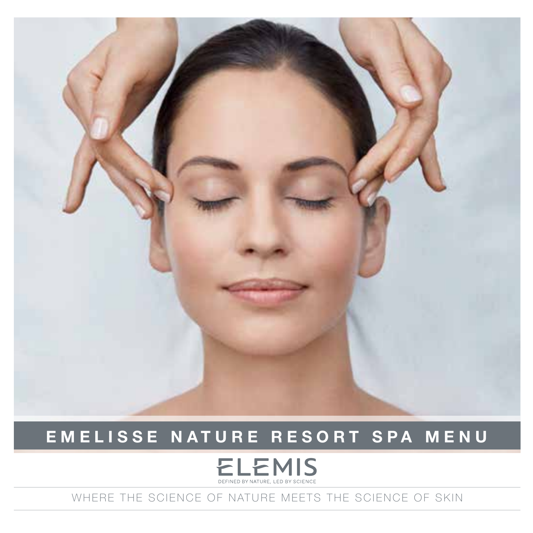

## **EMELISSE NATURE RESORT SPA MENU**

## **ELEMIS**

WHERE THE SCIENCE OF NATURE MEETS THE SCIENCE OF SKIN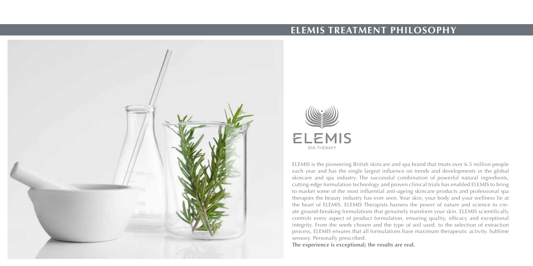

## **ELEMIS TREATMENT PHILOSOPHY**



ELEMIS is the pioneering British skincare and spa brand that treats over 6.5 million people each year and has the single largest influence on trends and developments in the global skincare and spa industry. The successful combination of powerful natural ingredients, cutting-edge formulation technology and proven clinical trials has enabled ELEMIS to bring to market some of the most influential anti-ageing skincare products and professional spa therapies the beauty industry has ever seen. Your skin, your body and your wellness lie at the heart of ELEMIS. ELEMIS Therapists harness the power of nature and science to create ground-breaking formulations that genuinely transform your skin. ELEMIS scientifically controls every aspect of product formulation, ensuring quality, efficacy and exceptional integrity. From the seeds chosen and the type of soil used, to the selection of extraction process, ELEMIS ensures that all formulations have maximum therapeutic activity. Sublime sensory. Personally prescribed.

**The experience is exceptional; the results are real.**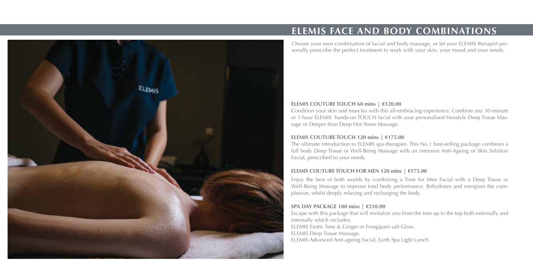

## **ELEMIS FACE AND BODY COMBINATIONS**

Choose your own combination of facial and body massage, or let your ELEMIS therapist personally prescribe the perfect treatment to work with your skin, your mood and your needs.

#### **ELEMIS COUTURE TOUCH 60 mins | €120.00**

Condition your skin and muscles with this all-embracing experience. Combine any 30-minute or 1-hour ELEMIS hands-on TOUCH facial with your personalised Freestyle Deep Tissue Massage or Deeper than Deep Hot Stone Massage.

#### **ELEMIS COUTURE TOUCH 120 mins | €175.00**

The ultimate introduction to ELEMIS spa-therapies. This No.1 best-selling package combines a full body Deep Tissue or Well-Being Massage with an intensive Anti-Ageing or Skin Solution Facial, prescribed to your needs.

#### **ELEMIS COUTURE TOUCH FOR MEN 120 mins | €175.00**

Enjoy the best of both worlds by combining a Time for Men Facial with a Deep Tissue or Well-Being Massage to improve total body performance. Rehydrates and energises the complexion, whilst deeply relaxing and recharging the body.

### **SPA DAY PACKAGE 180 mins | €210.00**

Escape with this package that will revitalize you from the toes up to the top both externally and internally which includes: ELEMIS Exotic lime & Ginger or Frangipani salt Glow, ELEMIS Deep Tissue Massage, ELEMIS Advanced Anti-ageing Facial, Earth Spa Light Lunch.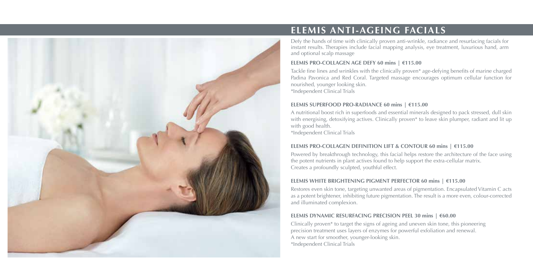

## **ELEMIS ANTI-AGEING FACIALS**

Defy the hands of time with clinically proven anti-wrinkle, radiance and resurfacing facials for instant results. Therapies include facial mapping analysis, eye treatment, luxurious hand, arm and optional scalp massage

#### **ELEMIS PRO-COLLAGEN AGE DEFY 60 mins | €115.00**

Tackle fine lines and wrinkles with the clinically proven\* age-defying benefits of marine charged Padina Pavonica and Red Coral. Targeted massage encourages optimum cellular function for nourished, younger looking skin. \*Independent Clinical Trials

#### **ELEMIS SUPERFOOD PRO-RADIANCE 60 mins | €115.00**

A nutritional boost rich in superfoods and essential minerals designed to pack stressed, dull skin with energising, detoxifying actives. Clinically proven<sup>\*</sup> to leave skin plumper, radiant and lit up with good health. \*Independent Clinical Trials

#### **ELEMIS PRO-COLLAGEN DEFINITION LIFT & CONTOUR 60 mins | €115.00**

Powered by breakthrough technology, this facial helps restore the architecture of the face using the potent nutrients in plant actives found to help support the extra-cellular matrix. Creates a profoundly sculpted, youthful effect.

#### **ELEMIS WHITE BRIGHTENING PIGMENT PERFECTOR 60 mins | €115.00**

Restores even skin tone, targeting unwanted areas of pigmentation. Encapsulated Vitamin C acts as a potent brightener, inhibiting future pigmentation. The result is a more even, colour-corrected and illuminated complexion.

#### **ELEMIS DYNAMIC RESURFACING PRECISION PEEL 30 mins | €60.00**

Clinically proven\* to target the signs of ageing and uneven skin tone, this pioneering precision treatment uses layers of enzymes for powerful exfoliation and renewal. A new start for smoother, younger-looking skin. \*Independent Clinical Trials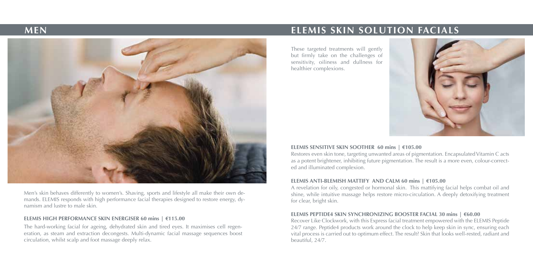

Men's skin behaves differently to women's. Shaving, sports and lifestyle all make their own demands. ELEMIS responds with high performance facial therapies designed to restore energy, dynamism and lustre to male skin.

#### **ELEMIS HIGH PERFORMANCE SKIN ENERGISER 60 mins | €115.00**

The hard-working facial for ageing, dehydrated skin and tired eyes. It maximises cell regeneration, as steam and extraction decongests. Multi-dynamic facial massage sequences boost circulation, whilst scalp and foot massage deeply relax.

## **MEN ELEMIS SKIN SOLUTION FACIALS**

These targeted treatments will gently but firmly take on the challenges of sensitivity, oiliness and dullness for healthier complexions.



#### **ELEMIS SENSITIVE SKIN SOOTHER 60 mins | €105.00**

Restores even skin tone, targeting unwanted areas of pigmentation. Encapsulated Vitamin C acts as a potent brightener, inhibiting future pigmentation. The result is a more even, colour-corrected and illuminated complexion.

#### **ELEMIS ANTI-BLEMISH MATTIFY AND CALM 60 mins | €105.00**

A revelation for oily, congested or hormonal skin. This mattifying facial helps combat oil and shine, while intuitive massage helps restore micro-circulation. A deeply detoxifying treatment for clear, bright skin.

#### **ELEMIS PEPTIDE4 SKIN SYNCHRONIZING BOOSTER FACIAL 30 mins | €60.00**

Recover Like Clockwork, with this Express facial treatment empowered with the ELEMIS Peptide 24/7 range. Peptide4 products work around the clock to help keep skin in sync, ensuring each vital process is carried out to optimum effect. The result? Skin that looks well-rested, radiant and beautiful, 24/7.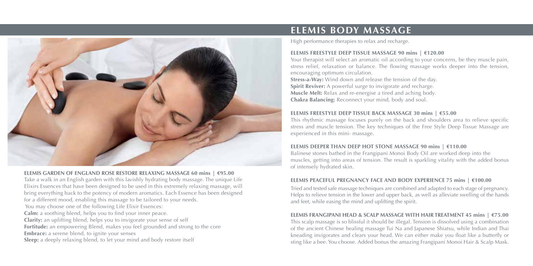

#### **ELEMIS GARDEN OF ENGLAND ROSE RESTORE RELAXING MASSAGE 60 mins | €95.00**

Take a walk in an English garden with this lavishly hydrating body massage. The unique Life Elixirs Essences that have been designed to be used in this extremely relaxing massage, will bring everything back to the potency of modern aromatics. Each Essence has been designed for a different mood, enabling this massage to be tailored to your needs. You may choose one of the following Life Elixir Essences: **Calm:** a soothing blend, helps you to find your inner peace. **Clarity:** an uplifting blend, helps you to invigorate your sense of self **Fortitude:** an empowering Blend, makes you feel grounded and strong to the core **Embrace:** a serene blend, to ignite your senses **Sleep:** a deeply relaxing blend, to let your mind and body restore itself

## **ELEMIS BODY MASSAGE**

High performance therapies to relax and recharge.

#### **ELEMIS FREESTYLE DEEP TISSUE MASSAGE 90 mins | €120.00**

Your therapist will select an aromatic oil according to your concerns, be they muscle pain, stress relief, relaxation or balance. The flowing massage works deeper into the tension, encouraging optimum circulation.

**Stress-a-Way:** Wind down and release the tension of the day. **Spirit Reviver:** A powerful surge to invigorate and recharge. **Muscle Melt:** Relax and re-energise a tired and aching body. **Chakra Balancing:** Reconnect your mind, body and soul.

#### **ELEMIS FREESTYLE DEEP TISSUE BACK MASSAGE 30 mins | €55.00**

This rhythmic massage focuses purely on the back and shoulders area to relieve specific stress and muscle tension. The key techniques of the Free Style Deep Tissue Massage are experienced in this mini- massage.

#### **ELEMIS DEEPER THAN DEEP HOT STONE MASSAGE 90 mins | €110.00**

Balinese stones bathed in the Frangipani Monoi Body Oil are worked deep into the muscles, getting into areas of tension. The result is sparkling vitality with the added bonus of intensely hydrated skin.

#### **ELEMIS PEACEFUL PREGNANCY FACE AND BODY EXPERIENCE 75 mins | €100.00**

Tried and tested safe massage techniques are combined and adapted to each stage of pregnancy. Helps to relieve tension in the lower and upper back, as well as alleviate swelling of the hands and feet, while easing the mind and uplifting the spirit.

#### **ELEMIS FRANGIPANI HEAD & SCALP MASSAGE WITH HAIR TREATMENT 45 mins | €75.00**

This scalp massage is so blissful it should be illegal. Tension is dissolved using a combination of the ancient Chinese healing massage Tui Na and Japanese Shiatsu, while Indian and Thai kneading invigorates and clears your head. We can either make you float like a butterfly or sting like a bee. You choose. Added bonus the amazing Frangipani Monoi Hair & Scalp Mask.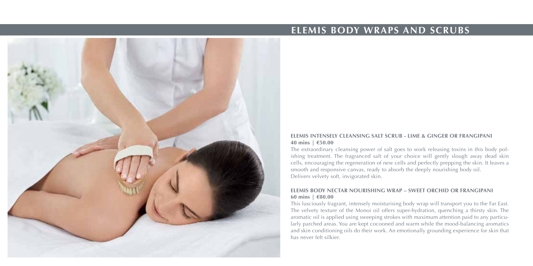

## **ELEMIS BODY WRAPS AND SCRUBS**

#### **ELEMIS INTENSELY CLEANSING SALT SCRUB - LIME & GINGER OR FRANGIPANI 40 mins | €50.00**

The extraordinary cleansing power of salt goes to work releasing toxins in this body polishing treatment. The fragranced salt of your choice will gently slough away dead skin cells, encouraging the regeneration of new cells and perfectly prepping the skin. It leaves a smooth and responsive canvas, ready to absorb the deeply nourishing body oil. Delivers velvety soft, invigorated skin.

#### **ELEMIS BODY NECTAR NOURISHING WRAP – SWEET ORCHID OR FRANGIPANI 60 mins | €80.00**

This lusciously fragrant, intensely moisturising body wrap will transport you to the Far East. The velvety texture of the Monoi oil offers super-hydration, quenching a thirsty skin. The aromatic oil is applied using sweeping strokes with maximum attention paid to any particularly parched areas. You are kept cocooned and warm while the mood-balancing aromatics and skin conditioning oils do their work. An emotionally grounding experience for skin that has never felt silkier.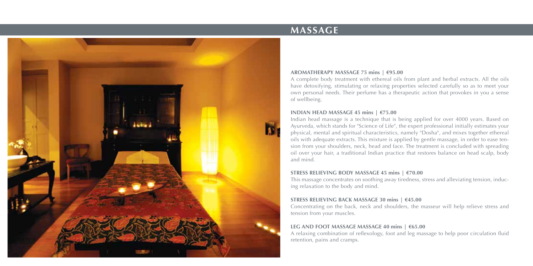

## **MASSAGE**

#### **AROMATHERAPY MASSAGE 75 mins | €95.00**

A complete body treatment with ethereal oils from plant and herbal extracts. All the oils have detoxifying, stimulating or relaxing properties selected carefully so as to meet your own personal needs. Their perfume has a therapeutic action that provokes in you a sense of wellbeing.

#### **INDIAN HEAD MASSAGE 45 mins | €75.00**

Indian head massage is a technique that is being applied for over 4000 years. Based on Ayurveda, which stands for "Science of Life", the expert professional initially estimates your physical, mental and spiritual characteristics, namely "Dosha", and mixes together ethereal oils with adequate extracts. This mixture is applied by gentle massage, in order to ease tension from your shoulders, neck, head and face. The treatment is concluded with spreading oil over your hair, a traditional Indian practice that restores balance on head scalp, body and mind.

#### **STRESS RELIEVING BODY MASSAGE 45 mins | €70.00**

This massage concentrates on soothing away tiredness, stress and alleviating tension, inducing relaxation to the body and mind.

#### **STRESS RELIEVING BACK MASSAGE 30 mins | €45.00**

Concentrating on the back, neck and shoulders, the masseur will help relieve stress and tension from your muscles.

#### **LEG AND FOOT MASSAGE MASSAGE 40 mins | €65.00**

A relaxing combination of reflexology, foot and leg massage to help poor circulation fluid retention, pains and cramps.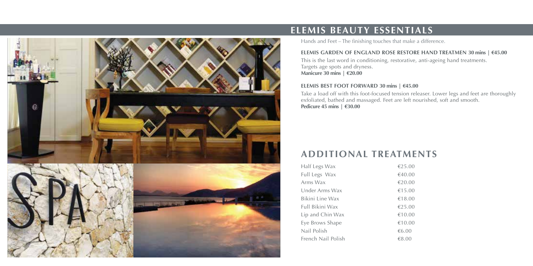

## **ELEMIS BEAUTY ESSENTIALS**

Hands and Feet – The finishing touches that make a difference.

#### **ELEMIS GARDEN OF ENGLAND ROSE RESTORE HAND TREATMEN 30 mins | €45.00**

This is the last word in conditioning, restorative, anti-ageing hand treatments. Targets age spots and dryness. **Manicure 30 mins | €20.00**

#### **ELEMIS BEST FOOT FORWARD 30 mins | €45.00**

Take a load off with this foot-focused tension releaser. Lower legs and feet are thoroughly exfoliated, bathed and massaged. Feet are left nourished, soft and smooth. **Pedicure 45 mins | €30.00**

## **ADDITIONAL TREATMENTS**

| Half Legs Wax      | €25.00 |
|--------------------|--------|
| Full Legs Wax      | €40.00 |
| Arms Wax           | €20.00 |
| Under Arms Wax     | €15.00 |
| Bikini Line Wax    | €18.00 |
| Full Bikini Wax    | €25.00 |
| Lip and Chin Wax   | €10.00 |
| Eye Brows Shape    | €10.00 |
| Nail Polish        | €6.00  |
| French Nail Polish | €8.00  |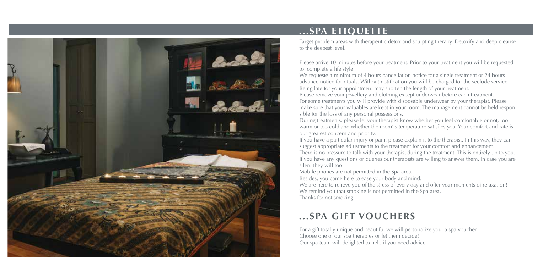

## **...SPA ETIQUETTE**

Target problem areas with therapeutic detox and sculpting therapy. Detoxify and deep cleanse to the deepest level.

Please arrive 10 minutes before your treatment. Prior to your treatment you will be requested to complete a life style.

We requeste a minimum of 4 hours cancellation notice for a single treatment or 24 hours advance notice for rituals. Without notification you will be charged for the seclude service. Being late for your appointment may shorten the length of your treatment. Please remove your jewellery and clothing except underwear before each treatment. For some treatments you will provide with disposable underwear by your therapist. Please make sure that your valuables are kept in your room. The management cannot be held responsible for the loss of any personal possessions.

During treatments, please let your therapist know whether you feel comfortable or not, too warm or too cold and whether the room' s temperature satisfies you. Your comfort and rate is our greatest concern and priority.

If you have a particular injury or pain, please explain it to the therapist. In this way, they can suggest appropriate adjustments to the treatment for your comfort and enhancement. There is no pressure to talk with your therapist during the treatment. This is entirely up to you. If you have any questions or queries our therapists are willing to answer them. In case you are silent they will too.

Mobile phones are not permitted in the Spa area.

Besides, you came here to ease your body and mind.

We are here to relieve you of the stress of every day and offer your moments of relaxation! We remind you that smoking is not permitted in the Spa area.

Thanks for not smoking

## **...SPA GIFT VOUCHERS**

For a gift totally unique and beautiful we will personalize you, a spa voucher. Choose one of our spa therapies or let them decide! Our spa team will delighted to help if you need advice